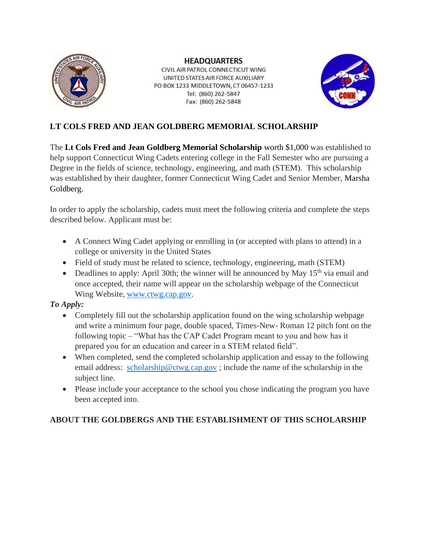

**HEADQUARTERS** CIVIL AIR PATROL CONNECTICUT WING UNITED STATES AIR FORCE AUXILIARY PO BOX 1233 MIDDLETOWN, CT 06457-1233 Tel: (860) 262-5847

Fax: (860) 262-5848



## **LT COLS FRED AND JEAN GOLDBERG MEMORIAL SCHOLARSHIP**

The **Lt Cols Fred and Jean Goldberg Memorial Scholarship** worth \$1,000 was established to help support Connecticut Wing Cadets entering college in the Fall Semester who are pursuing a Degree in the fields of science, technology, engineering, and math (STEM). This scholarship was established by their daughter, former Connecticut Wing Cadet and Senior Member, Marsha Goldberg.

In order to apply the scholarship, cadets must meet the following criteria and complete the steps described below. Applicant must be:

- A Connect Wing Cadet applying or enrolling in (or accepted with plans to attend) in a college or university in the United States
- Field of study must be related to science, technology, engineering, math (STEM)
- Deadlines to apply: April 30th; the winner will be announced by May  $15<sup>th</sup>$  via email and once accepted, their name will appear on the scholarship webpage of the Connecticut Wing Website, [www.ctwg.cap.gov.](http://www.ctwg.cap.gov/)

## *To Apply:*

- Completely fill out the scholarship application found on the wing scholarship webpage and write a minimum four page, double spaced, Times-New- Roman 12 pitch font on the following topic – "What has the CAP Cadet Program meant to you and how has it prepared you for an education and career in a STEM related field".
- When completed, send the completed scholarship application and essay to the following email address: [scholarship@ctwg.cap.gov](mailto:scholarship@ctwg.cap.gov) ; include the name of the scholarship in the subject line.
- Please include your acceptance to the school you chose indicating the program you have been accepted into.

## **ABOUT THE GOLDBERGS AND THE ESTABLISHMENT OF THIS SCHOLARSHIP**